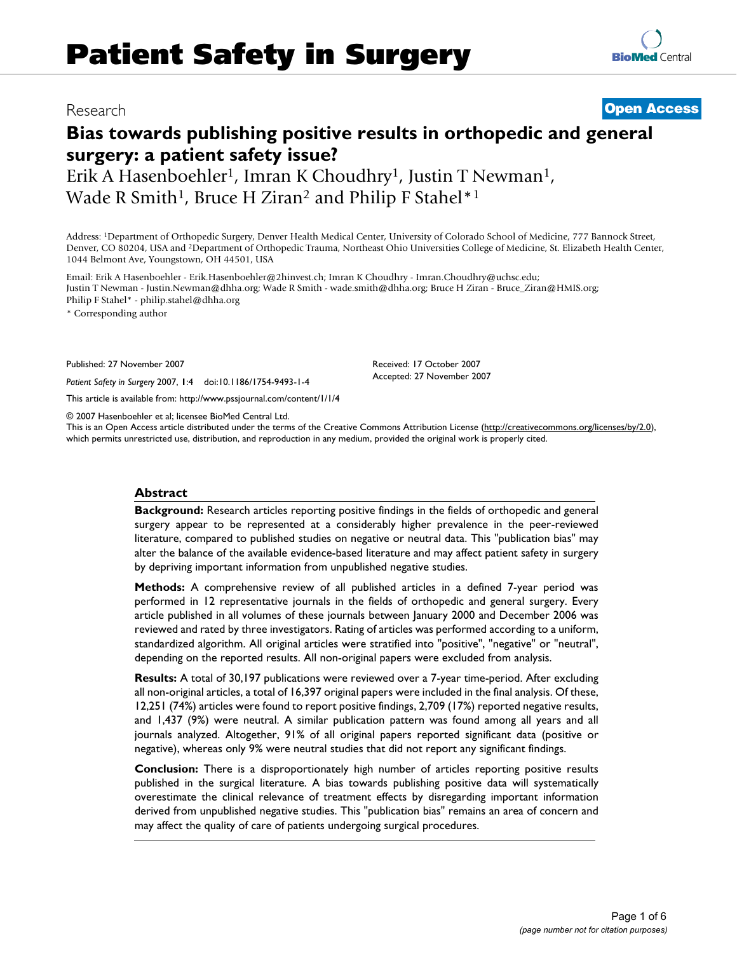# **Bias towards publishing positive results in orthopedic and general surgery: a patient safety issue?**

Erik A Hasenboehler<sup>1</sup>, Imran K Choudhry<sup>1</sup>, Justin T Newman<sup>1</sup>, Wade R Smith<sup>1</sup>, Bruce H Ziran<sup>2</sup> and Philip F Stahel<sup>\*1</sup>

Address: 1Department of Orthopedic Surgery, Denver Health Medical Center, University of Colorado School of Medicine, 777 Bannock Street, Denver, CO 80204, USA and 2Department of Orthopedic Trauma, Northeast Ohio Universities College of Medicine, St. Elizabeth Health Center, 1044 Belmont Ave, Youngstown, OH 44501, USA

Email: Erik A Hasenboehler - Erik.Hasenboehler@2hinvest.ch; Imran K Choudhry - Imran.Choudhry@uchsc.edu; Justin T Newman - Justin.Newman@dhha.org; Wade R Smith - wade.smith@dhha.org; Bruce H Ziran - Bruce\_Ziran@HMIS.org; Philip F Stahel\* - philip.stahel@dhha.org

\* Corresponding author

Published: 27 November 2007

*Patient Safety in Surgery* 2007, **1**:4 doi:10.1186/1754-9493-1-4

[This article is available from: http://www.pssjournal.com/content/1/1/4](http://www.pssjournal.com/content/1/1/4)

© 2007 Hasenboehler et al; licensee BioMed Central Ltd.

This is an Open Access article distributed under the terms of the Creative Commons Attribution License [\(http://creativecommons.org/licenses/by/2.0\)](http://creativecommons.org/licenses/by/2.0), which permits unrestricted use, distribution, and reproduction in any medium, provided the original work is properly cited.

#### **Abstract**

**Background:** Research articles reporting positive findings in the fields of orthopedic and general surgery appear to be represented at a considerably higher prevalence in the peer-reviewed literature, compared to published studies on negative or neutral data. This "publication bias" may alter the balance of the available evidence-based literature and may affect patient safety in surgery by depriving important information from unpublished negative studies.

**Methods:** A comprehensive review of all published articles in a defined 7-year period was performed in 12 representative journals in the fields of orthopedic and general surgery. Every article published in all volumes of these journals between January 2000 and December 2006 was reviewed and rated by three investigators. Rating of articles was performed according to a uniform, standardized algorithm. All original articles were stratified into "positive", "negative" or "neutral", depending on the reported results. All non-original papers were excluded from analysis.

**Results:** A total of 30,197 publications were reviewed over a 7-year time-period. After excluding all non-original articles, a total of 16,397 original papers were included in the final analysis. Of these, 12,251 (74%) articles were found to report positive findings, 2,709 (17%) reported negative results, and 1,437 (9%) were neutral. A similar publication pattern was found among all years and all journals analyzed. Altogether, 91% of all original papers reported significant data (positive or negative), whereas only 9% were neutral studies that did not report any significant findings.

**Conclusion:** There is a disproportionately high number of articles reporting positive results published in the surgical literature. A bias towards publishing positive data will systematically overestimate the clinical relevance of treatment effects by disregarding important information derived from unpublished negative studies. This "publication bias" remains an area of concern and may affect the quality of care of patients undergoing surgical procedures.

# Research **[Open Access](http://www.biomedcentral.com/info/about/charter/)**

Received: 17 October 2007 Accepted: 27 November 2007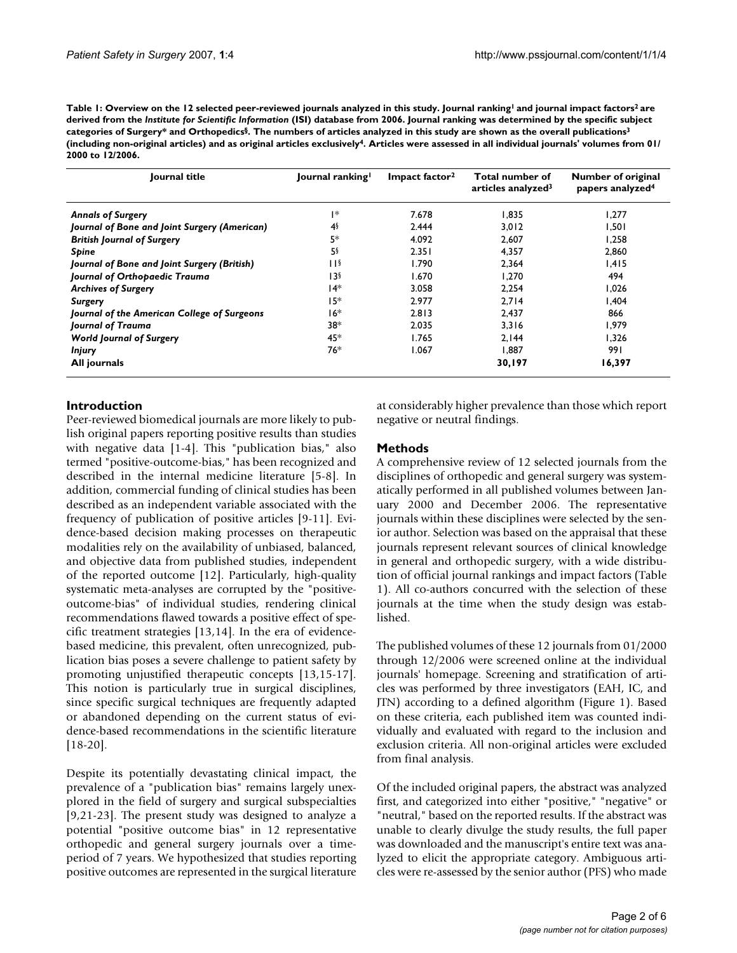Table 1: Overview on the 12 selected peer-reviewed journals analyzed in this study. Journal ranking<sup>1</sup> and journal impact factors<sup>2</sup> are **derived from the** *Institute for Scientific Information* **(ISI) database from 2006. Journal ranking was determined by the specific subject categories of Surgery\* and Orthopedics§. The numbers of articles analyzed in this study are shown as the overall publications3 (including non-original articles) and as original articles exclusively4. Articles were assessed in all individual journals' volumes from 01/ 2000 to 12/2006.**

| Journal title                                | Journal ranking <sup>1</sup> | Impact factor <sup>2</sup> | Total number of<br>articles analyzed <sup>3</sup> | Number of original<br>papers analyzed <sup>4</sup> |
|----------------------------------------------|------------------------------|----------------------------|---------------------------------------------------|----------------------------------------------------|
| <b>Annals of Surgery</b>                     | l*                           | 7.678                      | 1.835                                             | 1,277                                              |
| Journal of Bone and Joint Surgery (American) | $4\frac{5}{3}$               | 2.444                      | 3.012                                             | 1,501                                              |
| <b>British Journal of Surgery</b>            | 5*                           | 4.092                      | 2,607                                             | 1,258                                              |
| <b>Spine</b>                                 | 5§                           | 2.351                      | 4,357                                             | 2,860                                              |
| Journal of Bone and Joint Surgery (British)  | $11\$                        | 1.790                      | 2.364                                             | 1,415                                              |
| Journal of Orthopaedic Trauma                | l 3§                         | 1.670                      | 1.270                                             | 494                                                |
| <b>Archives of Surgery</b>                   | 4*                           | 3.058                      | 2.254                                             | 1,026                                              |
| <b>Surgery</b>                               | 15*                          | 2.977                      | 2.714                                             | 1,404                                              |
| Journal of the American College of Surgeons  | 16*                          | 2.813                      | 2.437                                             | 866                                                |
| Journal of Trauma                            | $38*$                        | 2.035                      | 3,316                                             | 1,979                                              |
| <b>World Journal of Surgery</b>              | 45*                          | 1.765                      | 2.144                                             | 1,326                                              |
| <b>Injury</b>                                | 76*                          | 1.067                      | 1,887                                             | 991                                                |
| All journals                                 |                              |                            | 30,197                                            | 16,397                                             |

## **Introduction**

Peer-reviewed biomedical journals are more likely to publish original papers reporting positive results than studies with negative data [1-4]. This "publication bias," also termed "positive-outcome-bias," has been recognized and described in the internal medicine literature [5-8]. In addition, commercial funding of clinical studies has been described as an independent variable associated with the frequency of publication of positive articles [9-11]. Evidence-based decision making processes on therapeutic modalities rely on the availability of unbiased, balanced, and objective data from published studies, independent of the reported outcome [12]. Particularly, high-quality systematic meta-analyses are corrupted by the "positiveoutcome-bias" of individual studies, rendering clinical recommendations flawed towards a positive effect of specific treatment strategies [13,14]. In the era of evidencebased medicine, this prevalent, often unrecognized, publication bias poses a severe challenge to patient safety by promoting unjustified therapeutic concepts [13,15-17]. This notion is particularly true in surgical disciplines, since specific surgical techniques are frequently adapted or abandoned depending on the current status of evidence-based recommendations in the scientific literature [18-20].

Despite its potentially devastating clinical impact, the prevalence of a "publication bias" remains largely unexplored in the field of surgery and surgical subspecialties [9,21-23]. The present study was designed to analyze a potential "positive outcome bias" in 12 representative orthopedic and general surgery journals over a timeperiod of 7 years. We hypothesized that studies reporting positive outcomes are represented in the surgical literature at considerably higher prevalence than those which report negative or neutral findings.

## **Methods**

A comprehensive review of 12 selected journals from the disciplines of orthopedic and general surgery was systematically performed in all published volumes between January 2000 and December 2006. The representative journals within these disciplines were selected by the senior author. Selection was based on the appraisal that these journals represent relevant sources of clinical knowledge in general and orthopedic surgery, with a wide distribution of official journal rankings and impact factors (Table 1). All co-authors concurred with the selection of these journals at the time when the study design was established.

The published volumes of these 12 journals from 01/2000 through 12/2006 were screened online at the individual journals' homepage. Screening and stratification of articles was performed by three investigators (EAH, IC, and JTN) according to a defined algorithm (Figure 1). Based on these criteria, each published item was counted individually and evaluated with regard to the inclusion and exclusion criteria. All non-original articles were excluded from final analysis.

Of the included original papers, the abstract was analyzed first, and categorized into either "positive," "negative" or "neutral," based on the reported results. If the abstract was unable to clearly divulge the study results, the full paper was downloaded and the manuscript's entire text was analyzed to elicit the appropriate category. Ambiguous articles were re-assessed by the senior author (PFS) who made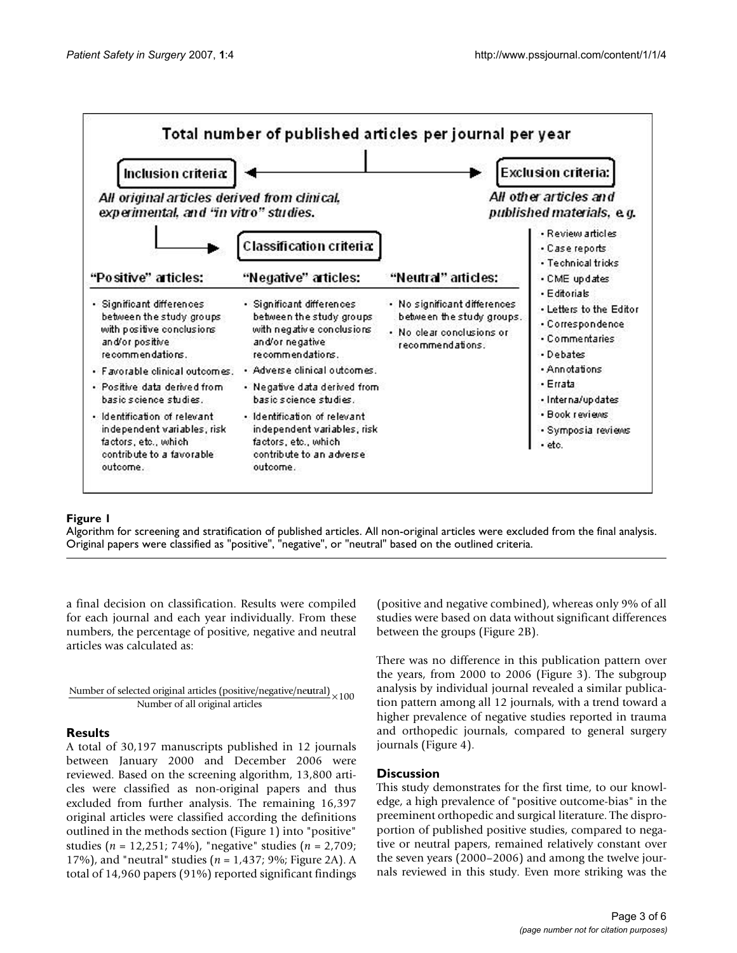

# Figure 1

Algorithm for screening and stratification of published articles. All non-original articles were excluded from the final analysis. Original papers were classified as "positive", "negative", or "neutral" based on the outlined criteria.

a final decision on classification. Results were compiled for each journal and each year individually. From these numbers, the percentage of positive, negative and neutral articles was calculated as:

Number of selected original articles (positive/negative/neutral) 
$$
\times 100
$$
 Number of all original articles

### **Results**

A total of 30,197 manuscripts published in 12 journals between January 2000 and December 2006 were reviewed. Based on the screening algorithm, 13,800 articles were classified as non-original papers and thus excluded from further analysis. The remaining 16,397 original articles were classified according the definitions outlined in the methods section (Figure 1) into "positive" studies (*n* = 12,251; 74%), "negative" studies (*n* = 2,709; 17%), and "neutral" studies (*n* = 1,437; 9%; Figure 2A). A total of 14,960 papers (91%) reported significant findings (positive and negative combined), whereas only 9% of all studies were based on data without significant differences between the groups (Figure 2B).

There was no difference in this publication pattern over the years, from 2000 to 2006 (Figure 3). The subgroup analysis by individual journal revealed a similar publication pattern among all 12 journals, with a trend toward a higher prevalence of negative studies reported in trauma and orthopedic journals, compared to general surgery journals (Figure 4).

# **Discussion**

This study demonstrates for the first time, to our knowledge, a high prevalence of "positive outcome-bias" in the preeminent orthopedic and surgical literature. The disproportion of published positive studies, compared to negative or neutral papers, remained relatively constant over the seven years (2000–2006) and among the twelve journals reviewed in this study. Even more striking was the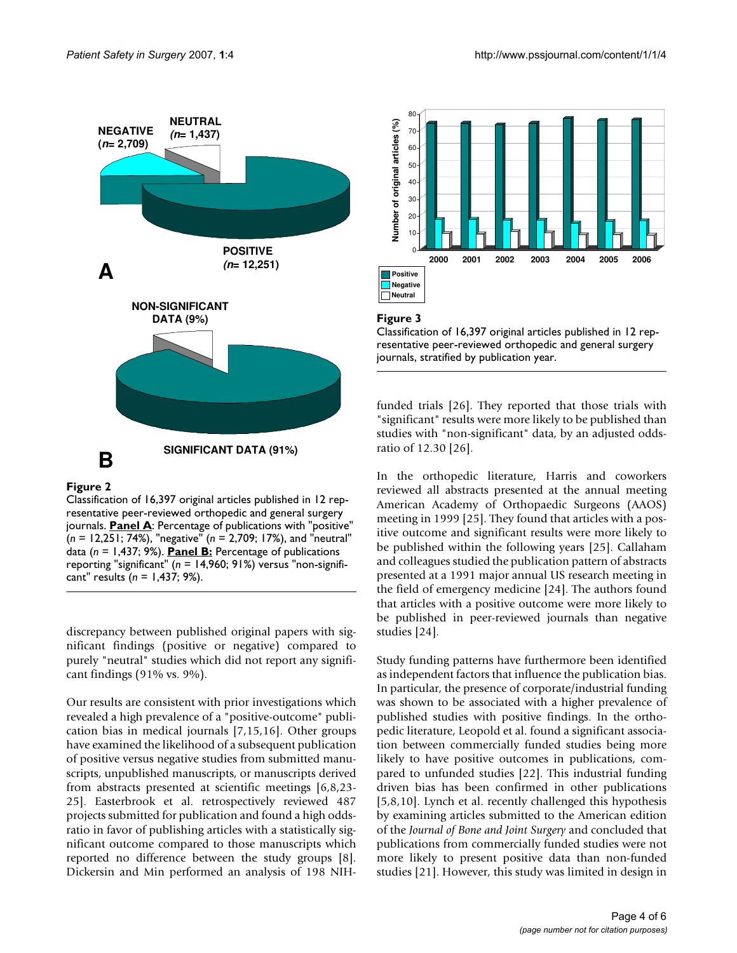

### Figure 2

Classification of 16,397 original articles published in 12 representative peer-reviewed orthopedic and general surgery journals. **Panel A**: Percentage of publications with "positive" (*n* = 12,251; 74%), "negative" (*n* = 2,709; 17%), and "neutral" data (*n* = 1,437; 9%). **Panel B:** Percentage of publications reporting "significant" (*n* = 14,960; 91%) versus "non-significant" results (*n* = 1,437; 9%).

discrepancy between published original papers with significant findings (positive or negative) compared to purely "neutral" studies which did not report any significant findings (91% vs. 9%).

Our results are consistent with prior investigations which revealed a high prevalence of a "positive-outcome" publication bias in medical journals [7,15,16]. Other groups have examined the likelihood of a subsequent publication of positive versus negative studies from submitted manuscripts, unpublished manuscripts, or manuscripts derived from abstracts presented at scientific meetings [6,8,23- 25]. Easterbrook et al. retrospectively reviewed 487 projects submitted for publication and found a high oddsratio in favor of publishing articles with a statistically significant outcome compared to those manuscripts which reported no difference between the study groups [8]. Dickersin and Min performed an analysis of 198 NIH-



#### Figure 3

Classification of 16,397 original articles published in 12 representative peer-reviewed orthopedic and general surgery

funded trials [26]. They reported that those trials with "significant" results were more likely to be published than studies with "non-significant" data, by an adjusted oddsratio of 12.30 [26].

In the orthopedic literature, Harris and coworkers reviewed all abstracts presented at the annual meeting American Academy of Orthopaedic Surgeons (AAOS) meeting in 1999 [25]. They found that articles with a positive outcome and significant results were more likely to be published within the following years [25]. Callaham and colleagues studied the publication pattern of abstracts presented at a 1991 major annual US research meeting in the field of emergency medicine [24]. The authors found that articles with a positive outcome were more likely to be published in peer-reviewed journals than negative studies [24].

Study funding patterns have furthermore been identified as independent factors that influence the publication bias. In particular, the presence of corporate/industrial funding was shown to be associated with a higher prevalence of published studies with positive findings. In the orthopedic literature, Leopold et al. found a significant association between commercially funded studies being more likely to have positive outcomes in publications, compared to unfunded studies [22]. This industrial funding driven bias has been confirmed in other publications [5,8,10]. Lynch et al. recently challenged this hypothesis by examining articles submitted to the American edition of the *Journal of Bone and Joint Surgery* and concluded that publications from commercially funded studies were not more likely to present positive data than non-funded studies [21]. However, this study was limited in design in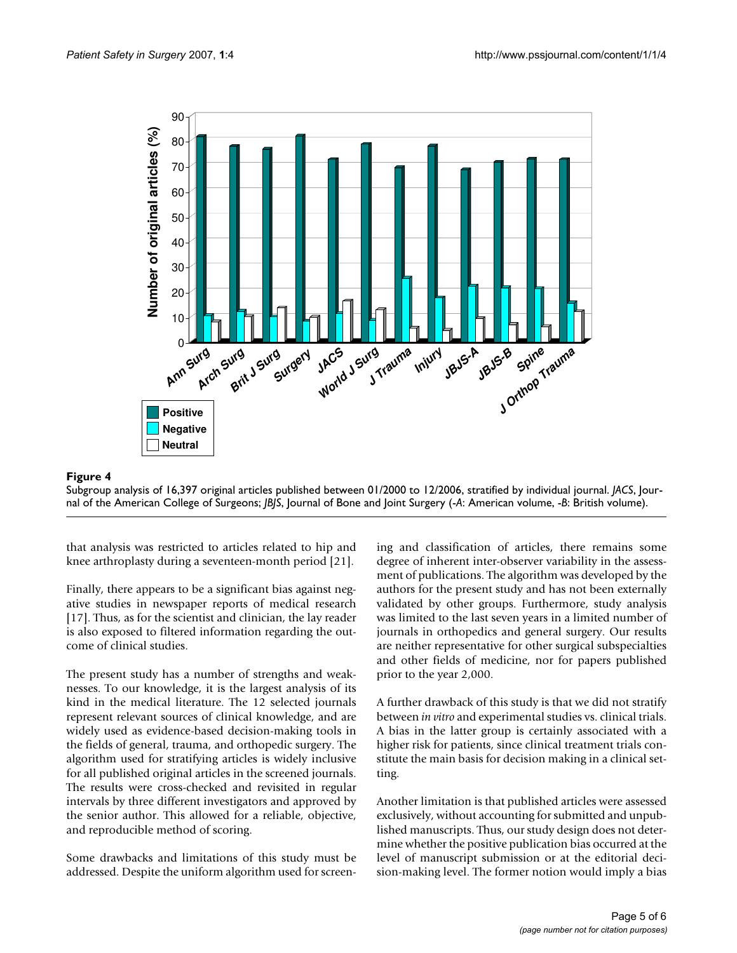

Subgroup analysis of 16,397 original articles published between 01/2000 to 12/2006, stratified by individual journal. *JACS*, Journal of the American College of Surgeons; *JBJS*, Journal of Bone and Joint Surgery (-*A*: American volume, -*B*: British volume).

that analysis was restricted to articles related to hip and knee arthroplasty during a seventeen-month period [21].

Finally, there appears to be a significant bias against negative studies in newspaper reports of medical research [17]. Thus, as for the scientist and clinician, the lay reader is also exposed to filtered information regarding the outcome of clinical studies.

The present study has a number of strengths and weaknesses. To our knowledge, it is the largest analysis of its kind in the medical literature. The 12 selected journals represent relevant sources of clinical knowledge, and are widely used as evidence-based decision-making tools in the fields of general, trauma, and orthopedic surgery. The algorithm used for stratifying articles is widely inclusive for all published original articles in the screened journals. The results were cross-checked and revisited in regular intervals by three different investigators and approved by the senior author. This allowed for a reliable, objective, and reproducible method of scoring.

Some drawbacks and limitations of this study must be addressed. Despite the uniform algorithm used for screening and classification of articles, there remains some degree of inherent inter-observer variability in the assessment of publications. The algorithm was developed by the authors for the present study and has not been externally validated by other groups. Furthermore, study analysis was limited to the last seven years in a limited number of journals in orthopedics and general surgery. Our results are neither representative for other surgical subspecialties and other fields of medicine, nor for papers published prior to the year 2,000.

A further drawback of this study is that we did not stratify between *in vitro* and experimental studies vs. clinical trials. A bias in the latter group is certainly associated with a higher risk for patients, since clinical treatment trials constitute the main basis for decision making in a clinical setting.

Another limitation is that published articles were assessed exclusively, without accounting for submitted and unpublished manuscripts. Thus, our study design does not determine whether the positive publication bias occurred at the level of manuscript submission or at the editorial decision-making level. The former notion would imply a bias